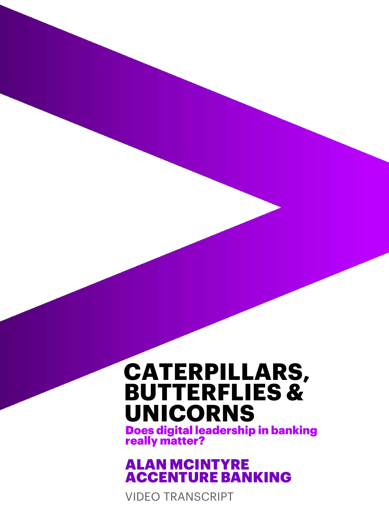#### **CATERPILLARS, BUTTERFLIES & UNICORNS**

Does digital leadership in banking really matter?

ALAN MCINTYRE ACCENTURE BANKING

VIDEO TRANSCRIPT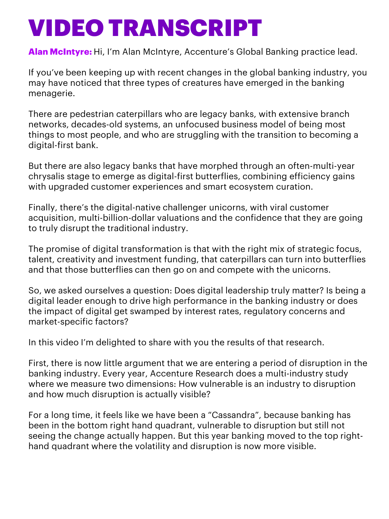**Alan McIntyre:** Hi, I'm Alan McIntyre, Accenture's Global Banking practice lead.

If you've been keeping up with recent changes in the global banking industry, you may have noticed that three types of creatures have emerged in the banking menagerie.

There are pedestrian caterpillars who are legacy banks, with extensive branch networks, decades-old systems, an unfocused business model of being most things to most people, and who are struggling with the transition to becoming a digital-first bank.

But there are also legacy banks that have morphed through an often-multi-year chrysalis stage to emerge as digital-first butterflies, combining efficiency gains with upgraded customer experiences and smart ecosystem curation.

Finally, there's the digital-native challenger unicorns, with viral customer acquisition, multi-billion-dollar valuations and the confidence that they are going to truly disrupt the traditional industry.

The promise of digital transformation is that with the right mix of strategic focus, talent, creativity and investment funding, that caterpillars can turn into butterflies and that those butterflies can then go on and compete with the unicorns.

So, we asked ourselves a question: Does digital leadership truly matter? Is being a digital leader enough to drive high performance in the banking industry or does the impact of digital get swamped by interest rates, regulatory concerns and market-specific factors?

In this video I'm delighted to share with you the results of that research.

First, there is now little argument that we are entering a period of disruption in the banking industry. Every year, Accenture Research does a multi-industry study where we measure two dimensions: How vulnerable is an industry to disruption and how much disruption is actually visible?

For a long time, it feels like we have been a "Cassandra", because banking has been in the bottom right hand quadrant, vulnerable to disruption but still not seeing the change actually happen. But this year banking moved to the top righthand quadrant where the volatility and disruption is now more visible.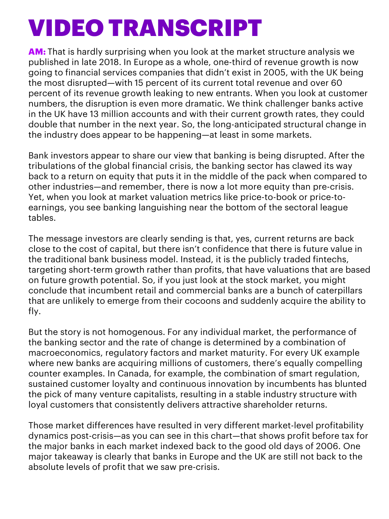**AM:** That is hardly surprising when you look at the market structure analysis we published in late 2018. In Europe as a whole, one-third of revenue growth is now going to financial services companies that didn't exist in 2005, with the UK being the most disrupted—with 15 percent of its current total revenue and over 60 percent of its revenue growth leaking to new entrants. When you look at customer numbers, the disruption is even more dramatic. We think challenger banks active in the UK have 13 million accounts and with their current growth rates, they could double that number in the next year. So, the long-anticipated structural change in the industry does appear to be happening—at least in some markets.

Bank investors appear to share our view that banking is being disrupted. After the tribulations of the global financial crisis, the banking sector has clawed its way back to a return on equity that puts it in the middle of the pack when compared to other industries—and remember, there is now a lot more equity than pre-crisis. Yet, when you look at market valuation metrics like price-to-book or price-toearnings, you see banking languishing near the bottom of the sectoral league tables.

The message investors are clearly sending is that, yes, current returns are back close to the cost of capital, but there isn't confidence that there is future value in the traditional bank business model. Instead, it is the publicly traded fintechs, targeting short-term growth rather than profits, that have valuations that are based on future growth potential. So, if you just look at the stock market, you might conclude that incumbent retail and commercial banks are a bunch of caterpillars that are unlikely to emerge from their cocoons and suddenly acquire the ability to fly.

But the story is not homogenous. For any individual market, the performance of the banking sector and the rate of change is determined by a combination of macroeconomics, regulatory factors and market maturity. For every UK example where new banks are acquiring millions of customers, there's equally compelling counter examples. In Canada, for example, the combination of smart regulation, sustained customer loyalty and continuous innovation by incumbents has blunted the pick of many venture capitalists, resulting in a stable industry structure with loyal customers that consistently delivers attractive shareholder returns.

Those market differences have resulted in very different market-level profitability dynamics post-crisis—as you can see in this chart—that shows profit before tax for the major banks in each market indexed back to the good old days of 2006. One major takeaway is clearly that banks in Europe and the UK are still not back to the absolute levels of profit that we saw pre-crisis.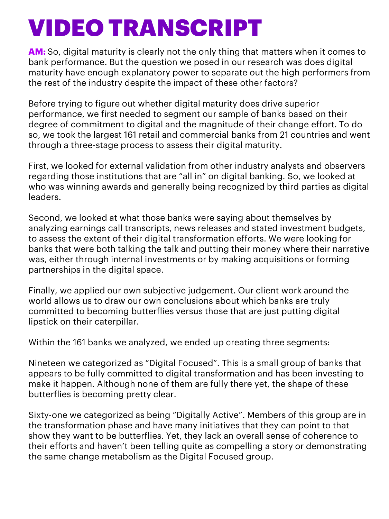**AM:** So, digital maturity is clearly not the only thing that matters when it comes to bank performance. But the question we posed in our research was does digital maturity have enough explanatory power to separate out the high performers from the rest of the industry despite the impact of these other factors?

Before trying to figure out whether digital maturity does drive superior performance, we first needed to segment our sample of banks based on their degree of commitment to digital and the magnitude of their change effort. To do so, we took the largest 161 retail and commercial banks from 21 countries and went through a three-stage process to assess their digital maturity.

First, we looked for external validation from other industry analysts and observers regarding those institutions that are "all in" on digital banking. So, we looked at who was winning awards and generally being recognized by third parties as digital leaders.

Second, we looked at what those banks were saying about themselves by analyzing earnings call transcripts, news releases and stated investment budgets, to assess the extent of their digital transformation efforts. We were looking for banks that were both talking the talk and putting their money where their narrative was, either through internal investments or by making acquisitions or forming partnerships in the digital space.

Finally, we applied our own subjective judgement. Our client work around the world allows us to draw our own conclusions about which banks are truly committed to becoming butterflies versus those that are just putting digital lipstick on their caterpillar.

Within the 161 banks we analyzed, we ended up creating three segments:

Nineteen we categorized as "Digital Focused". This is a small group of banks that appears to be fully committed to digital transformation and has been investing to make it happen. Although none of them are fully there yet, the shape of these butterflies is becoming pretty clear.

Sixty-one we categorized as being "Digitally Active". Members of this group are in the transformation phase and have many initiatives that they can point to that show they want to be butterflies. Yet, they lack an overall sense of coherence to their efforts and haven't been telling quite as compelling a story or demonstrating the same change metabolism as the Digital Focused group.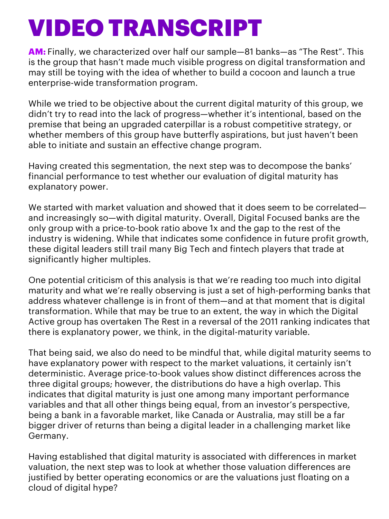**AM:** Finally, we characterized over half our sample—81 banks—as "The Rest". This is the group that hasn't made much visible progress on digital transformation and may still be toying with the idea of whether to build a cocoon and launch a true enterprise-wide transformation program.

While we tried to be objective about the current digital maturity of this group, we didn't try to read into the lack of progress—whether it's intentional, based on the premise that being an upgraded caterpillar is a robust competitive strategy, or whether members of this group have butterfly aspirations, but just haven't been able to initiate and sustain an effective change program.

Having created this segmentation, the next step was to decompose the banks' financial performance to test whether our evaluation of digital maturity has explanatory power.

We started with market valuation and showed that it does seem to be correlated and increasingly so—with digital maturity. Overall, Digital Focused banks are the only group with a price-to-book ratio above 1x and the gap to the rest of the industry is widening. While that indicates some confidence in future profit growth, these digital leaders still trail many Big Tech and fintech players that trade at significantly higher multiples.

One potential criticism of this analysis is that we're reading too much into digital maturity and what we're really observing is just a set of high-performing banks that address whatever challenge is in front of them—and at that moment that is digital transformation. While that may be true to an extent, the way in which the Digital Active group has overtaken The Rest in a reversal of the 2011 ranking indicates that there is explanatory power, we think, in the digital-maturity variable.

That being said, we also do need to be mindful that, while digital maturity seems to have explanatory power with respect to the market valuations, it certainly isn't deterministic. Average price-to-book values show distinct differences across the three digital groups; however, the distributions do have a high overlap. This indicates that digital maturity is just one among many important performance variables and that all other things being equal, from an investor's perspective, being a bank in a favorable market, like Canada or Australia, may still be a far bigger driver of returns than being a digital leader in a challenging market like Germany.

Having established that digital maturity is associated with differences in market valuation, the next step was to look at whether those valuation differences are justified by better operating economics or are the valuations just floating on a cloud of digital hype?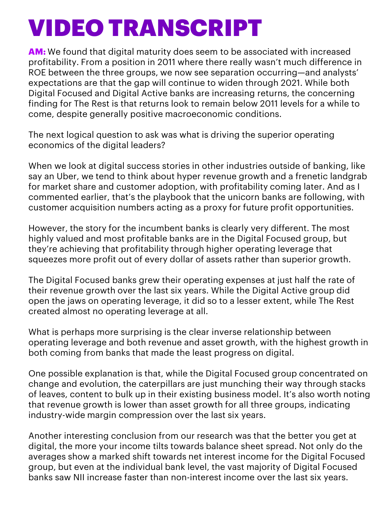**AM:** We found that digital maturity does seem to be associated with increased profitability. From a position in 2011 where there really wasn't much difference in ROE between the three groups, we now see separation occurring—and analysts' expectations are that the gap will continue to widen through 2021. While both Digital Focused and Digital Active banks are increasing returns, the concerning finding for The Rest is that returns look to remain below 2011 levels for a while to come, despite generally positive macroeconomic conditions.

The next logical question to ask was what is driving the superior operating economics of the digital leaders?

When we look at digital success stories in other industries outside of banking, like say an Uber, we tend to think about hyper revenue growth and a frenetic landgrab for market share and customer adoption, with profitability coming later. And as I commented earlier, that's the playbook that the unicorn banks are following, with customer acquisition numbers acting as a proxy for future profit opportunities.

However, the story for the incumbent banks is clearly very different. The most highly valued and most profitable banks are in the Digital Focused group, but they're achieving that profitability through higher operating leverage that squeezes more profit out of every dollar of assets rather than superior growth.

The Digital Focused banks grew their operating expenses at just half the rate of their revenue growth over the last six years. While the Digital Active group did open the jaws on operating leverage, it did so to a lesser extent, while The Rest created almost no operating leverage at all.

What is perhaps more surprising is the clear inverse relationship between operating leverage and both revenue and asset growth, with the highest growth in both coming from banks that made the least progress on digital.

One possible explanation is that, while the Digital Focused group concentrated on change and evolution, the caterpillars are just munching their way through stacks of leaves, content to bulk up in their existing business model. It's also worth noting that revenue growth is lower than asset growth for all three groups, indicating industry-wide margin compression over the last six years.

Another interesting conclusion from our research was that the better you get at digital, the more your income tilts towards balance sheet spread. Not only do the averages show a marked shift towards net interest income for the Digital Focused group, but even at the individual bank level, the vast majority of Digital Focused banks saw NII increase faster than non-interest income over the last six years.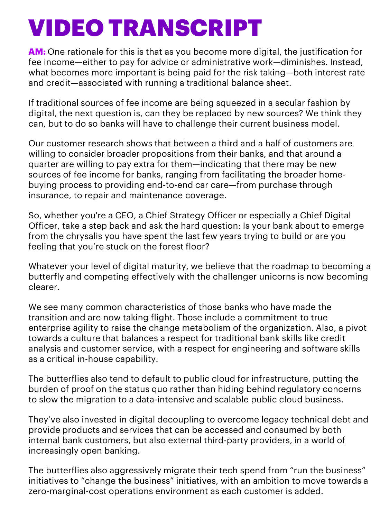**AM:** One rationale for this is that as you become more digital, the justification for fee income—either to pay for advice or administrative work—diminishes. Instead, what becomes more important is being paid for the risk taking—both interest rate and credit—associated with running a traditional balance sheet.

If traditional sources of fee income are being squeezed in a secular fashion by digital, the next question is, can they be replaced by new sources? We think they can, but to do so banks will have to challenge their current business model.

Our customer research shows that between a third and a half of customers are willing to consider broader propositions from their banks, and that around a quarter are willing to pay extra for them—indicating that there may be new sources of fee income for banks, ranging from facilitating the broader homebuying process to providing end-to-end car care—from purchase through insurance, to repair and maintenance coverage.

So, whether you're a CEO, a Chief Strategy Officer or especially a Chief Digital Officer, take a step back and ask the hard question: Is your bank about to emerge from the chrysalis you have spent the last few years trying to build or are you feeling that you're stuck on the forest floor?

Whatever your level of digital maturity, we believe that the roadmap to becoming a butterfly and competing effectively with the challenger unicorns is now becoming clearer.

We see many common characteristics of those banks who have made the transition and are now taking flight. Those include a commitment to true enterprise agility to raise the change metabolism of the organization. Also, a pivot towards a culture that balances a respect for traditional bank skills like credit analysis and customer service, with a respect for engineering and software skills as a critical in-house capability.

The butterflies also tend to default to public cloud for infrastructure, putting the burden of proof on the status quo rather than hiding behind regulatory concerns to slow the migration to a data-intensive and scalable public cloud business.

They've also invested in digital decoupling to overcome legacy technical debt and provide products and services that can be accessed and consumed by both internal bank customers, but also external third-party providers, in a world of increasingly open banking.

The butterflies also aggressively migrate their tech spend from "run the business" initiatives to "change the business" initiatives, with an ambition to move towards a zero-marginal-cost operations environment as each customer is added.